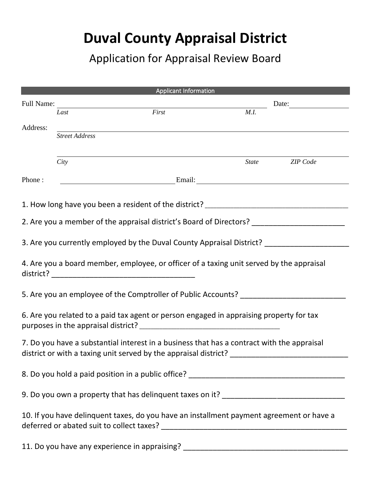## **Duval County Appraisal District**

Application for Appraisal Review Board

|                                                                                                                                                                |                       | <b>Applicant Information</b>                                                                                                                                                                                                   |                              |                       |
|----------------------------------------------------------------------------------------------------------------------------------------------------------------|-----------------------|--------------------------------------------------------------------------------------------------------------------------------------------------------------------------------------------------------------------------------|------------------------------|-----------------------|
| Full Name:                                                                                                                                                     |                       |                                                                                                                                                                                                                                | Date: $\qquad \qquad \qquad$ |                       |
|                                                                                                                                                                | Last                  | First                                                                                                                                                                                                                          | M.I.                         |                       |
| Address:                                                                                                                                                       |                       |                                                                                                                                                                                                                                |                              |                       |
|                                                                                                                                                                | <b>Street Address</b> |                                                                                                                                                                                                                                |                              |                       |
|                                                                                                                                                                |                       |                                                                                                                                                                                                                                |                              |                       |
|                                                                                                                                                                | City                  |                                                                                                                                                                                                                                |                              | State <b>ZIP</b> Code |
|                                                                                                                                                                |                       |                                                                                                                                                                                                                                |                              |                       |
| Phone:                                                                                                                                                         |                       | Email: Email: Email: Email: Email: Email: Email: Email: Email: Email: Email: Email: Email: Email: Email: Email: Email: Email: Email: Email: Email: Email: Email: Email: Email: Email: Email: Email: Email: Email: Email: Email |                              |                       |
|                                                                                                                                                                |                       |                                                                                                                                                                                                                                |                              |                       |
|                                                                                                                                                                |                       | 1. How long have you been a resident of the district? ___________________________                                                                                                                                              |                              |                       |
|                                                                                                                                                                |                       | 2. Are you a member of the appraisal district's Board of Directors? ___________________                                                                                                                                        |                              |                       |
|                                                                                                                                                                |                       |                                                                                                                                                                                                                                |                              |                       |
|                                                                                                                                                                |                       | 3. Are you currently employed by the Duval County Appraisal District? _________________                                                                                                                                        |                              |                       |
|                                                                                                                                                                |                       |                                                                                                                                                                                                                                |                              |                       |
|                                                                                                                                                                |                       | 4. Are you a board member, employee, or officer of a taxing unit served by the appraisal                                                                                                                                       |                              |                       |
|                                                                                                                                                                |                       |                                                                                                                                                                                                                                |                              |                       |
|                                                                                                                                                                |                       | 5. Are you an employee of the Comptroller of Public Accounts? __________________                                                                                                                                               |                              |                       |
|                                                                                                                                                                |                       |                                                                                                                                                                                                                                |                              |                       |
|                                                                                                                                                                |                       | 6. Are you related to a paid tax agent or person engaged in appraising property for tax                                                                                                                                        |                              |                       |
|                                                                                                                                                                |                       |                                                                                                                                                                                                                                |                              |                       |
|                                                                                                                                                                |                       |                                                                                                                                                                                                                                |                              |                       |
| 7. Do you have a substantial interest in a business that has a contract with the appraisal<br>district or with a taxing unit served by the appraisal district? |                       |                                                                                                                                                                                                                                |                              |                       |
|                                                                                                                                                                |                       |                                                                                                                                                                                                                                |                              |                       |
|                                                                                                                                                                |                       |                                                                                                                                                                                                                                |                              |                       |
|                                                                                                                                                                |                       |                                                                                                                                                                                                                                |                              |                       |
|                                                                                                                                                                |                       |                                                                                                                                                                                                                                |                              |                       |
|                                                                                                                                                                |                       |                                                                                                                                                                                                                                |                              |                       |
|                                                                                                                                                                |                       | 10. If you have delinquent taxes, do you have an installment payment agreement or have a                                                                                                                                       |                              |                       |
|                                                                                                                                                                |                       |                                                                                                                                                                                                                                |                              |                       |
|                                                                                                                                                                |                       |                                                                                                                                                                                                                                |                              |                       |

11. Do you have any experience in appraising? \_\_\_\_\_\_\_\_\_\_\_\_\_\_\_\_\_\_\_\_\_\_\_\_\_\_\_\_\_\_\_\_\_\_